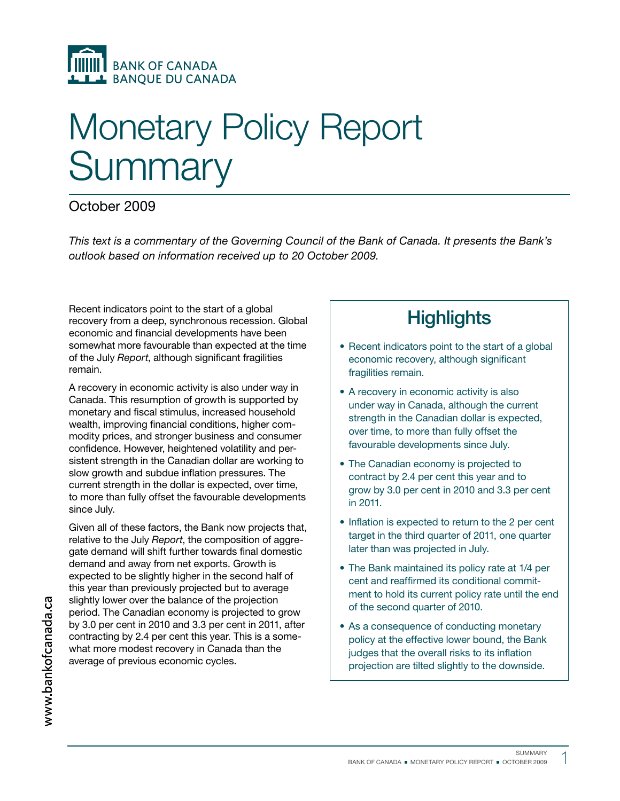

# Monetary Policy Report **Summary**

### October 2009

This text is a commentary of the Governing Council of the Bank of Canada. It presents the Bank's outlook based on information received up to 20 October 2009.

Recent indicators point to the start of a global recovery from a deep, synchronous recession. Global economic and financial developments have been somewhat more favourable than expected at the time of the July Report, although significant fragilities remain.

A recovery in economic activity is also under way in Canada. This resumption of growth is supported by monetary and fiscal stimulus, increased household wealth, improving financial conditions, higher commodity prices, and stronger business and consumer confidence. However, heightened volatility and persistent strength in the Canadian dollar are working to slow growth and subdue inflation pressures. The current strength in the dollar is expected, over time, to more than fully offset the favourable developments since July.

Given all of these factors, the Bank now projects that, relative to the July Report, the composition of aggregate demand will shift further towards final domestic demand and away from net exports. Growth is expected to be slightly higher in the second half of this year than previously projected but to average slightly lower over the balance of the projection period. The Canadian economy is projected to grow by 3.0 per cent in 2010 and 3.3 per cent in 2011, after contracting by 2.4 per cent this year. This is a somewhat more modest recovery in Canada than the average of previous economic cycles.

## **Highlights**

- Recent indicators point to the start of a global economic recovery, although significant fragilities remain.
- A recovery in economic activity is also under way in Canada, although the current strength in the Canadian dollar is expected, over time, to more than fully offset the favourable developments since July.
- The Canadian economy is projected to contract by 2.4 per cent this year and to grow by 3.0 per cent in 2010 and 3.3 per cent in 2011.
- Inflation is expected to return to the 2 per cent target in the third quarter of 2011, one quarter later than was projected in July.
- The Bank maintained its policy rate at 1/4 per cent and reaffirmed its conditional commitment to hold its current policy rate until the end of the second quarter of 2010.
- As a consequence of conducting monetary policy at the effective lower bound, the Bank judges that the overall risks to its inflation projection are tilted slightly to the downside.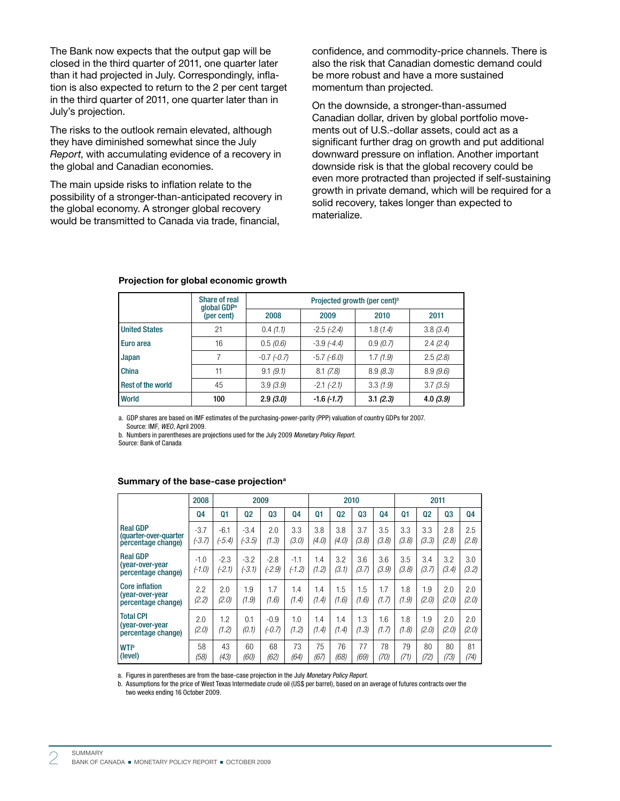The Bank now expects that the output gap will be closed in the third quarter of 2011, one quarter later than it had projected in July. Correspondingly, inflation is also expected to return to the 2 per cent target in the third quarter of 2011, one quarter later than in July's projection.

The risks to the outlook remain elevated, although they have diminished somewhat since the July Report, with accumulating evidence of a recovery in the global and Canadian economies.

The main upside risks to inflation relate to the possibility of a stronger-than-anticipated recovery in the global economy. A stronger global recovery would be transmitted to Canada via trade, financial,

confidence, and commodity-price channels. There is also the risk that Canadian domestic demand could be more robust and have a more sustained momentum than projected.

On the downside, a stronger-than-assumed Canadian dollar, driven by global portfolio movements out of U.S.-dollar assets, could act as a significant further drag on growth and put additional downward pressure on inflation. Another important downside risk is that the global recovery could be even more protracted than projected if self-sustaining growth in private demand, which will be required for a solid recovery, takes longer than expected to materialize.

|                      | Share of real<br>global GDP <sup>a</sup> | Projected growth (per cent) <sup>b</sup> |                 |          |          |  |  |  |  |
|----------------------|------------------------------------------|------------------------------------------|-----------------|----------|----------|--|--|--|--|
|                      | (per cent)                               | 2008                                     | 2009            | 2010     | 2011     |  |  |  |  |
| <b>United States</b> | 21                                       | 0.4(1.1)                                 | $-2.5$ $(-2.4)$ | 1.8(1.4) | 3.8(3.4) |  |  |  |  |
| Euro area            | 16                                       | 0.5(0.6)                                 | $-3.9(-4.4)$    | 0.9(0.7) | 2.4(2.4) |  |  |  |  |
| Japan                | 7                                        | $-0.7$ $(-0.7)$                          | $-5.7$ $(-6.0)$ | 1.7(1.9) | 2.5(2.8) |  |  |  |  |
| China                | 11                                       | 9.1 (9.1)                                | 8.1(7.8)        | 8.9(8.3) | 8.9(9.6) |  |  |  |  |
| Rest of the world    | 45                                       | 3.9(3.9)                                 | $-2.1$ $(-2.1)$ | 3.3(1.9) | 3.7(3.5) |  |  |  |  |
| <b>World</b>         | 100                                      | 2.9(3.0)                                 | $-1.6$ $(-1.7)$ | 3.1(2.3) | 4.0(3.9) |  |  |  |  |

### Projection for global economic growth

a. GDP shares are based on IMF estimates of the purchasing-power-parity (PPP) valuation of country GDPs for 2007. Source: IMF, WEO, April 2009.

b. Numbers in parentheses are projections used for the July 2009 Monetary Policy Report.

Source: Bank of Canada

#### Summary of the base-case projection<sup>a</sup>

|                                                                | 2008               | 2009               |                    |                    | 2010               |                |              | 2011         |              |              |              |                |              |
|----------------------------------------------------------------|--------------------|--------------------|--------------------|--------------------|--------------------|----------------|--------------|--------------|--------------|--------------|--------------|----------------|--------------|
|                                                                | <b>Q4</b>          | Q <sub>1</sub>     | 02                 | Q <sub>3</sub>     | 04                 | Q <sub>1</sub> | <b>Q2</b>    | Q3           | 04           | 01           | 02           | Q <sub>3</sub> | Q4           |
| <b>Real GDP</b><br>(quarter-over-quarter<br>percentage change) | $-3.7$<br>$(-3.7)$ | $-6.1$<br>$(-5.4)$ | $-3.4$<br>(-3.5)   | 2.0<br>(1.3)       | 3.3<br>(3.0)       | 3.8<br>(4.0)   | 3.8<br>(4.0) | 3.7<br>(3.8) | 3.5<br>(3.8) | 3.3<br>(3.8) | 3.3<br>(3.3) | 2.8<br>(2.8)   | 2.5<br>(2.8) |
| <b>Real GDP</b><br>(vear-over-vear<br>percentage change)       | $-1.0$<br>$(-1.0)$ | $-2.3$<br>$(-2.1)$ | $-3.2$<br>$(-3.1)$ | $-2.8$<br>$(-2.9)$ | $-1.1$<br>$(-1.2)$ | 1.4<br>(1.2)   | 3.2<br>(3.1) | 3.6<br>(3.7) | 3.6<br>(3.9) | 3.5<br>(3.8) | 3.4<br>(3.7) | 3.2<br>(3.4)   | 3.0<br>(3.2) |
| <b>Core inflation</b><br>(vear-over-year<br>percentage change) | 2.2<br>(2.2)       | 2.0<br>(2.0)       | 1.9<br>(1.9)       | 1.7<br>(1.6)       | 1.4<br>(1.4)       | 1.4<br>(1.4)   | 1.5<br>(1.6) | 1.5<br>(1.6) | 1.7<br>(1.7) | 1.8<br>(1.9) | 1.9<br>(2.0) | 2.0<br>(2.0)   | 2.0<br>(2.0) |
| <b>Total CPI</b><br>(year-over-year)<br>percentage change)     | 2.0<br>(2.0)       | 1.2<br>(1.2)       | 0.1<br>(0.1)       | $-0.9$<br>$(-0.7)$ | 1.0<br>(1.2)       | 1.4<br>(1.4)   | 1.4<br>(1.4) | 1.3<br>(1.3) | 1.6<br>(1.7) | 1.8<br>(1.8) | 1.9<br>(2.0) | 2.0<br>(2.0)   | 2.0<br>(2.0) |
| <b>WTIb</b><br>(level)                                         | 58<br>(58)         | 43<br>(43)         | 60<br>(60)         | 68<br>(62)         | 73<br>(64)         | 75<br>(67)     | 76<br>(68)   | 77<br>(69)   | 78<br>(70)   | 79<br>(71)   | 80<br>(72)   | 80<br>(73)     | 81<br>(74)   |

a. Figures in parentheses are from the base-case projection in the July Monetary Policy Report.

b. Assumptions for the price of West Texas Intermediate crude oil (US\$ per barrel), based on an average of futures contracts over the two weeks ending 16 October 2009.